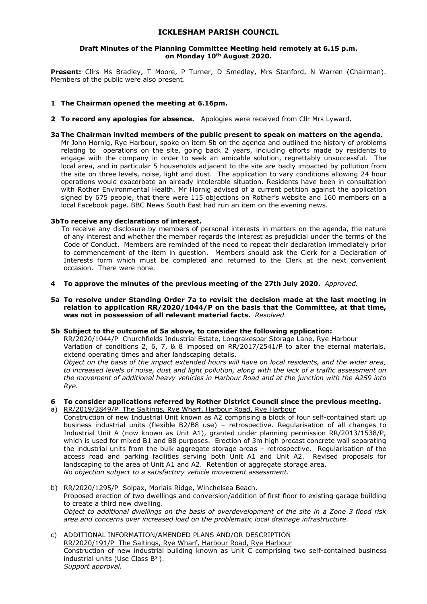## **ICKLESHAM PARISH COUNCIL**

### **Draft Minutes of the Planning Committee Meeting held remotely at 6.15 p.m. on Monday 10th August 2020.**

Present: Cllrs Ms Bradley, T Moore, P Turner, D Smedley, Mrs Stanford, N Warren (Chairman). Members of the public were also present.

## **1 The Chairman opened the meeting at 6.16pm.**

**2 To record any apologies for absence.** Apologies were received from Cllr Mrs Lyward.

### **3a The Chairman invited members of the public present to speak on matters on the agenda.**

Mr John Hornig, Rye Harbour, spoke on item 5b on the agenda and outlined the history of problems relating to operations on the site, going back 2 years, including efforts made by residents to engage with the company in order to seek an amicable solution, regrettably unsuccessful. The local area, and in particular 5 households adjacent to the site are badly impacted by pollution from the site on three levels, noise, light and dust. The application to vary conditions allowing 24 hour operations would exacerbate an already intolerable situation. Residents have been in consultation with Rother Environmental Health. Mr Hornig advised of a current petition against the application signed by 675 people, that there were 115 objections on Rother's website and 160 members on a local Facebook page. BBC News South East had run an item on the evening news.

### **3bTo receive any declarations of interest.**

To receive any disclosure by members of personal interests in matters on the agenda, the nature of any interest and whether the member regards the interest as prejudicial under the terms of the Code of Conduct. Members are reminded of the need to repeat their declaration immediately prior to commencement of the item in question. Members should ask the Clerk for a Declaration of Interests form which must be completed and returned to the Clerk at the next convenient occasion. There were none.

- **4 To approve the minutes of the previous meeting of the 27th July 2020.** *Approved.*
- **5a To resolve under Standing Order 7a to revisit the decision made at the last meeting in relation to application RR/2020/1044/P on the basis that the Committee, at that time, was not in possession of all relevant material facts.** *Resolved.*

### **5b Subject to the outcome of 5a above, to consider the following application:**

RR/2020/1044/P Churchfields Industrial Estate, Longrakespar Storage Lane, Rye Harbour Variation of conditions 2, 6, 7, & 8 imposed on RR/2017/2541/P to alter the eternal materials, extend operating times and alter landscaping details.

*Object on the basis of the impact extended hours will have on local residents, and the wider area, to increased levels of noise, dust and light pollution, along with the lack of a traffic assessment on the movement of additional heavy vehicles in Harbour Road and at the junction with the A259 into Rye.*

### **6 To consider applications referred by Rother District Council since the previous meeting.**

- a) RR/2019/2849/P The Saltings, Rye Wharf, Harbour Road, Rye Harbour Construction of new Industrial Unit known as A2 comprising a block of four self-contained start up business industrial units (flexible B2/B8 use) – retrospective. Regularisation of all changes to Industrial Unit A (now known as Unit A1), granted under planning permission RR/2013/1538/P, which is used for mixed B1 and B8 purposes. Erection of 3m high precast concrete wall separating the industrial units from the bulk aggregate storage areas – retrospective. Regularisation of the access road and parking facilities serving both Unit A1 and Unit A2. Revised proposals for landscaping to the area of Unit A1 and A2. Retention of aggregate storage area. *No objection subject to a satisfactory vehicle movement assessment.*
- b) RR/2020/1295/P Solpax, Morlais Ridge, Winchelsea Beach. Proposed erection of two dwellings and conversion/addition of first floor to existing garage building to create a third new dwelling. *Object to additional dwellings on the basis of overdevelopment of the site in a Zone 3 flood risk area and concerns over increased load on the problematic local drainage infrastructure.*
- c) ADDITIONAL INFORMATION/AMENDED PLANS AND/OR DESCRIPTION RR/2020/191/P The Saltings, Rye Wharf, Harbour Road, Rye Harbour Construction of new industrial building known as Unit C comprising two self-contained business industrial units (Use Class B\*). *Support approval.*